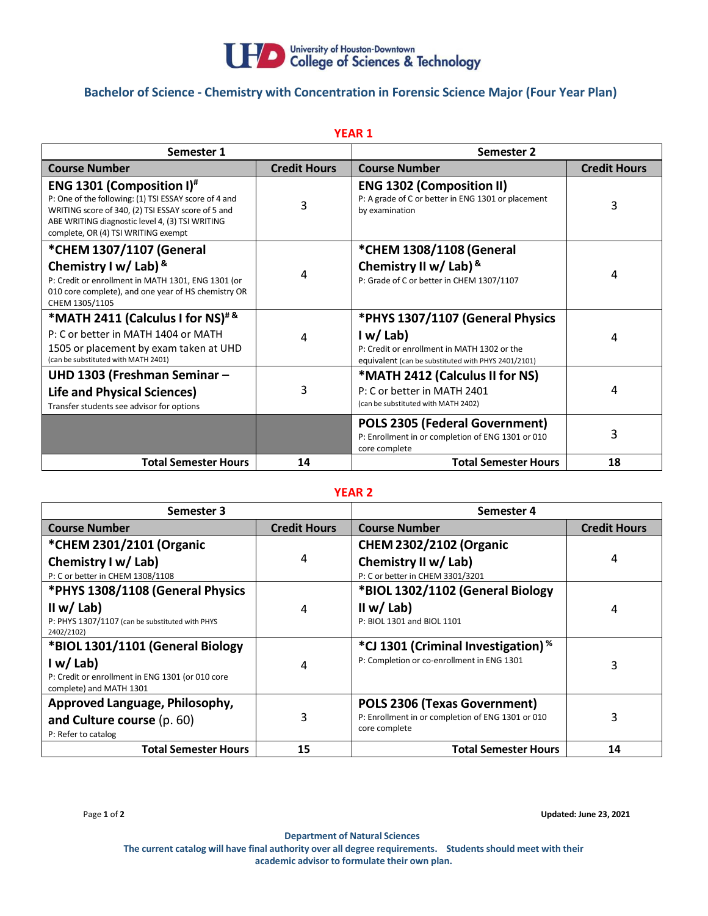

## **Bachelor of Science - Chemistry with Concentration in Forensic Science Major (Four Year Plan)**

| <b>YEAR 1</b>                                                                                                                                                                                                                             |                     |                                                                                                               |                     |  |  |
|-------------------------------------------------------------------------------------------------------------------------------------------------------------------------------------------------------------------------------------------|---------------------|---------------------------------------------------------------------------------------------------------------|---------------------|--|--|
| Semester 1                                                                                                                                                                                                                                |                     | Semester 2                                                                                                    |                     |  |  |
| <b>Course Number</b>                                                                                                                                                                                                                      | <b>Credit Hours</b> | <b>Course Number</b>                                                                                          | <b>Credit Hours</b> |  |  |
| <b>ENG 1301 (Composition I)#</b><br>P: One of the following: (1) TSI ESSAY score of 4 and<br>WRITING score of 340, (2) TSI ESSAY score of 5 and<br>ABE WRITING diagnostic level 4, (3) TSI WRITING<br>complete, OR (4) TSI WRITING exempt | 3                   | <b>ENG 1302 (Composition II)</b><br>P: A grade of C or better in ENG 1301 or placement<br>by examination      | 3                   |  |  |
| *CHEM 1307/1107 (General                                                                                                                                                                                                                  |                     | *CHEM 1308/1108 (General                                                                                      |                     |  |  |
| Chemistry I w/ Lab) $8$<br>P: Credit or enrollment in MATH 1301, ENG 1301 (or<br>010 core complete), and one year of HS chemistry OR<br>CHEM 1305/1105                                                                                    | 4                   | Chemistry II w/ Lab) $8$<br>P: Grade of C or better in CHEM 1307/1107                                         | 4                   |  |  |
| *MATH 2411 (Calculus I for NS) <sup>#&amp;</sup>                                                                                                                                                                                          |                     | *PHYS 1307/1107 (General Physics                                                                              |                     |  |  |
| P: C or better in MATH 1404 or MATH<br>1505 or placement by exam taken at UHD<br>(can be substituted with MATH 2401)                                                                                                                      | 4                   | I w/Lab<br>P: Credit or enrollment in MATH 1302 or the<br>equivalent (can be substituted with PHYS 2401/2101) | 4                   |  |  |
| UHD 1303 (Freshman Seminar -                                                                                                                                                                                                              |                     | *MATH 2412 (Calculus II for NS)                                                                               |                     |  |  |
| <b>Life and Physical Sciences)</b><br>Transfer students see advisor for options                                                                                                                                                           | 3                   | P: C or better in MATH 2401<br>(can be substituted with MATH 2402)                                            | 4                   |  |  |
|                                                                                                                                                                                                                                           |                     | <b>POLS 2305 (Federal Government)</b><br>P: Enrollment in or completion of ENG 1301 or 010<br>core complete   | 3                   |  |  |
| <b>Total Semester Hours</b>                                                                                                                                                                                                               | 14                  | <b>Total Semester Hours</b>                                                                                   | 18                  |  |  |

## **YEAR 2**

| Semester 3                                                                  |                     | Semester 4                                        |                     |
|-----------------------------------------------------------------------------|---------------------|---------------------------------------------------|---------------------|
| <b>Course Number</b>                                                        | <b>Credit Hours</b> | <b>Course Number</b>                              | <b>Credit Hours</b> |
| *CHEM 2301/2101 (Organic                                                    |                     | <b>CHEM 2302/2102 (Organic</b>                    |                     |
| Chemistry I w/ Lab)                                                         | 4                   | Chemistry II w/ Lab)                              | 4                   |
| P: C or better in CHEM 1308/1108                                            |                     | P: C or better in CHEM 3301/3201                  |                     |
| *PHYS 1308/1108 (General Physics                                            |                     | *BIOL 1302/1102 (General Biology                  |                     |
| II w/ Lab)                                                                  | 4                   | II w/ Lab)                                        | 4                   |
| P: PHYS 1307/1107 (can be substituted with PHYS<br>2402/2102)               |                     | P: BIOL 1301 and BIOL 1101                        |                     |
| *BIOL 1301/1101 (General Biology                                            |                     | *CJ 1301 (Criminal Investigation) <sup>%</sup>    |                     |
| I w/Lab                                                                     | 4                   | P: Completion or co-enrollment in ENG 1301        | 3                   |
| P: Credit or enrollment in ENG 1301 (or 010 core<br>complete) and MATH 1301 |                     |                                                   |                     |
| Approved Language, Philosophy,                                              |                     | POLS 2306 (Texas Government)                      |                     |
| and Culture course (p. 60)                                                  | 3                   | P: Enrollment in or completion of ENG 1301 or 010 | 3                   |
| P: Refer to catalog                                                         |                     | core complete                                     |                     |
| <b>Total Semester Hours</b>                                                 | 15                  | <b>Total Semester Hours</b>                       | 14                  |

Page **1** of **2 Updated: June 23, 2021**

**Department of Natural Sciences The current catalog will have final authority over all degree requirements. Students should meet with their academic advisor to formulate their own plan.**